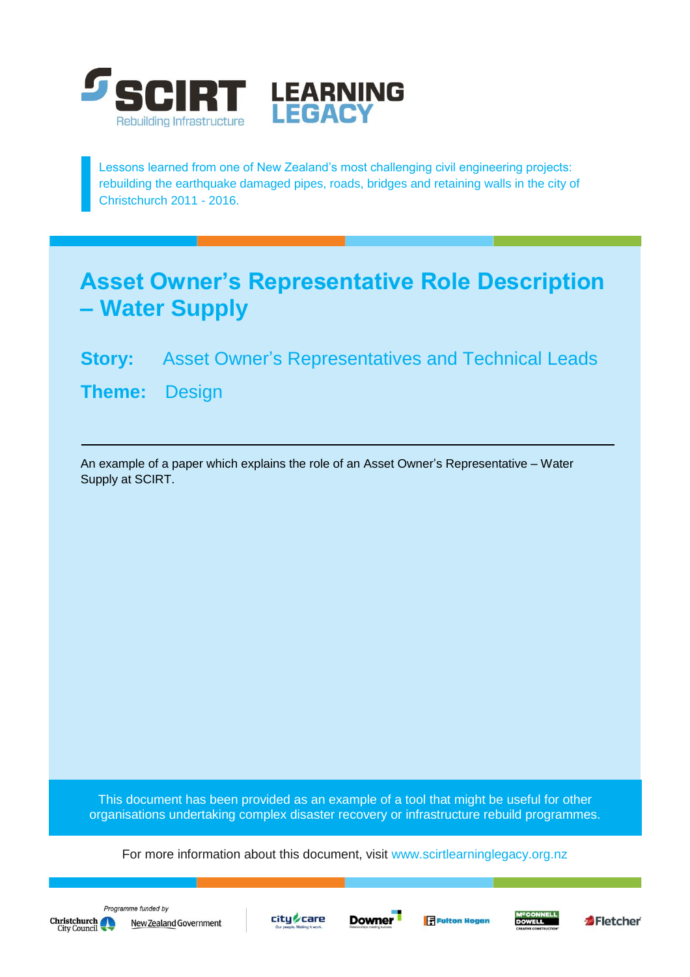

Lessons learned from one of New Zealand's most challenging civil engineering projects: rebuilding the earthquake damaged pipes, roads, bridges and retaining walls in the city of Christchurch 2011 - 2016.

## **Asset Owner's Representative Role Description – Water Supply**

## **Story:** Asset Owner's Representatives and Technical Leads

**Theme:** Design

An example of a paper which explains the role of an Asset Owner's Representative – Water Supply at SCIRT.

This document has been provided as an example of a tool that might be useful for other organisations undertaking complex disaster recovery or infrastructure rebuild programmes.

For more information about this document, visit [www.scirtlearninglegacy.org.nz](http://www.scirtlearninglegacy.org.nz/)









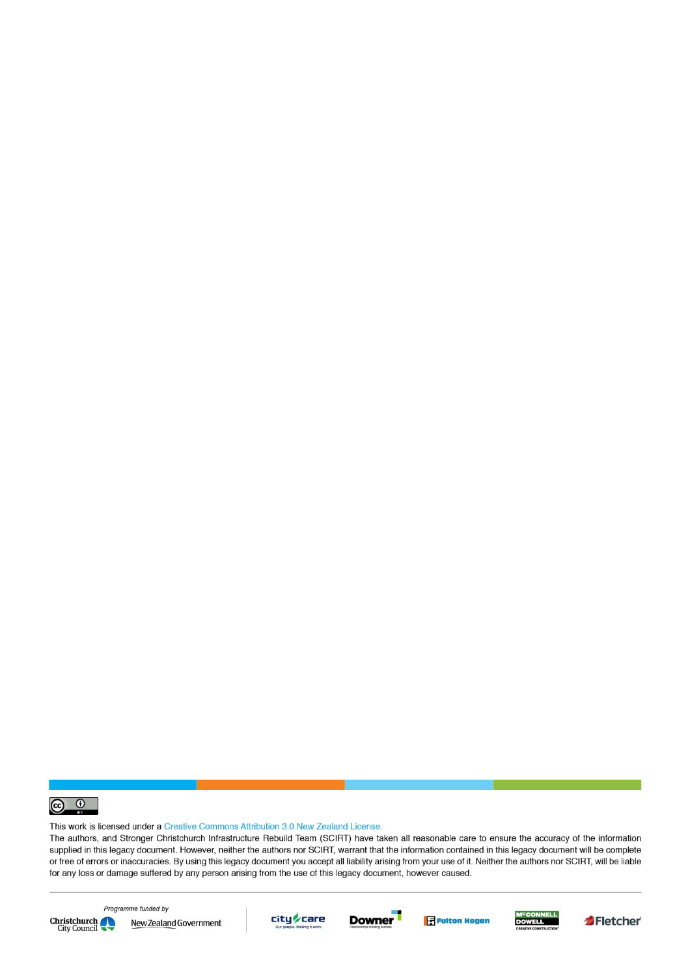

This work is licensed under a Creative Commons Attribution 3.0 New Zealand License.

The authors, and Stronger Christchurch Infrastructure Rebuild Team (SCIRT) have taken all reasonable care to ensure the accuracy of the information supplied in this legacy document. However, neither the authors nor SCIRT, warrant that the information contained in this legacy document will be complete or free of errors or inaccuracies. By using this legacy document you accept all liability arising from your use of it. Neither the authors nor SCIRT, will be liable for any loss or damage suffered by any person arising from the use of this legacy document, however caused.



Programme funded by New Zealand Government









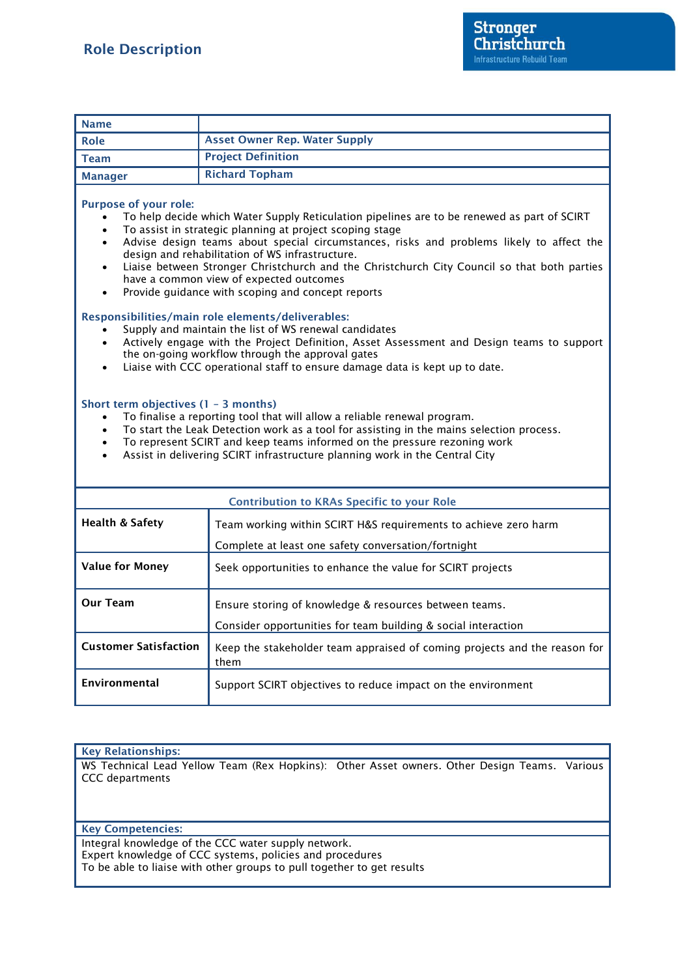| <b>Name</b>                                                                                                                                                                                                                                                                                                                                                                                                                                                                                                                                                                                                                                                                                                                                                                                                                                                                                                                                                                                                                                                                                                                                                                                                                                                                                                                                                            |                                                                                   |
|------------------------------------------------------------------------------------------------------------------------------------------------------------------------------------------------------------------------------------------------------------------------------------------------------------------------------------------------------------------------------------------------------------------------------------------------------------------------------------------------------------------------------------------------------------------------------------------------------------------------------------------------------------------------------------------------------------------------------------------------------------------------------------------------------------------------------------------------------------------------------------------------------------------------------------------------------------------------------------------------------------------------------------------------------------------------------------------------------------------------------------------------------------------------------------------------------------------------------------------------------------------------------------------------------------------------------------------------------------------------|-----------------------------------------------------------------------------------|
| Role                                                                                                                                                                                                                                                                                                                                                                                                                                                                                                                                                                                                                                                                                                                                                                                                                                                                                                                                                                                                                                                                                                                                                                                                                                                                                                                                                                   | <b>Asset Owner Rep. Water Supply</b>                                              |
| <b>Team</b>                                                                                                                                                                                                                                                                                                                                                                                                                                                                                                                                                                                                                                                                                                                                                                                                                                                                                                                                                                                                                                                                                                                                                                                                                                                                                                                                                            | <b>Project Definition</b>                                                         |
| <b>Manager</b>                                                                                                                                                                                                                                                                                                                                                                                                                                                                                                                                                                                                                                                                                                                                                                                                                                                                                                                                                                                                                                                                                                                                                                                                                                                                                                                                                         | <b>Richard Topham</b>                                                             |
| <b>Purpose of your role:</b><br>To help decide which Water Supply Reticulation pipelines are to be renewed as part of SCIRT<br>To assist in strategic planning at project scoping stage<br>$\bullet$<br>Advise design teams about special circumstances, risks and problems likely to affect the<br>$\bullet$<br>design and rehabilitation of WS infrastructure.<br>Liaise between Stronger Christchurch and the Christchurch City Council so that both parties<br>have a common view of expected outcomes<br>Provide guidance with scoping and concept reports<br>Responsibilities/main role elements/deliverables:<br>Supply and maintain the list of WS renewal candidates<br>Actively engage with the Project Definition, Asset Assessment and Design teams to support<br>$\bullet$<br>the on-going workflow through the approval gates<br>Liaise with CCC operational staff to ensure damage data is kept up to date.<br>$\bullet$<br>Short term objectives (1 - 3 months)<br>To finalise a reporting tool that will allow a reliable renewal program.<br>$\bullet$<br>To start the Leak Detection work as a tool for assisting in the mains selection process.<br>$\bullet$<br>To represent SCIRT and keep teams informed on the pressure rezoning work<br>$\bullet$<br>Assist in delivering SCIRT infrastructure planning work in the Central City<br>$\bullet$ |                                                                                   |
| <b>Contribution to KRAs Specific to your Role</b>                                                                                                                                                                                                                                                                                                                                                                                                                                                                                                                                                                                                                                                                                                                                                                                                                                                                                                                                                                                                                                                                                                                                                                                                                                                                                                                      |                                                                                   |
| <b>Health &amp; Safety</b>                                                                                                                                                                                                                                                                                                                                                                                                                                                                                                                                                                                                                                                                                                                                                                                                                                                                                                                                                                                                                                                                                                                                                                                                                                                                                                                                             | Team working within SCIRT H&S requirements to achieve zero harm                   |
|                                                                                                                                                                                                                                                                                                                                                                                                                                                                                                                                                                                                                                                                                                                                                                                                                                                                                                                                                                                                                                                                                                                                                                                                                                                                                                                                                                        | Complete at least one safety conversation/fortnight                               |
| <b>Value for Money</b>                                                                                                                                                                                                                                                                                                                                                                                                                                                                                                                                                                                                                                                                                                                                                                                                                                                                                                                                                                                                                                                                                                                                                                                                                                                                                                                                                 | Seek opportunities to enhance the value for SCIRT projects                        |
| <b>Our Team</b>                                                                                                                                                                                                                                                                                                                                                                                                                                                                                                                                                                                                                                                                                                                                                                                                                                                                                                                                                                                                                                                                                                                                                                                                                                                                                                                                                        | Ensure storing of knowledge & resources between teams.                            |
|                                                                                                                                                                                                                                                                                                                                                                                                                                                                                                                                                                                                                                                                                                                                                                                                                                                                                                                                                                                                                                                                                                                                                                                                                                                                                                                                                                        | Consider opportunities for team building & social interaction                     |
| <b>Customer Satisfaction</b>                                                                                                                                                                                                                                                                                                                                                                                                                                                                                                                                                                                                                                                                                                                                                                                                                                                                                                                                                                                                                                                                                                                                                                                                                                                                                                                                           | Keep the stakeholder team appraised of coming projects and the reason for<br>them |
| Environmental                                                                                                                                                                                                                                                                                                                                                                                                                                                                                                                                                                                                                                                                                                                                                                                                                                                                                                                                                                                                                                                                                                                                                                                                                                                                                                                                                          | Support SCIRT objectives to reduce impact on the environment                      |

**Key Relationships:** WS Technical Lead Yellow Team (Rex Hopkins): Other Asset owners. Other Design Teams. Various CCC departments

**Key Competencies:**

Integral knowledge of the CCC water supply network. Expert knowledge of CCC systems, policies and procedures To be able to liaise with other groups to pull together to get results